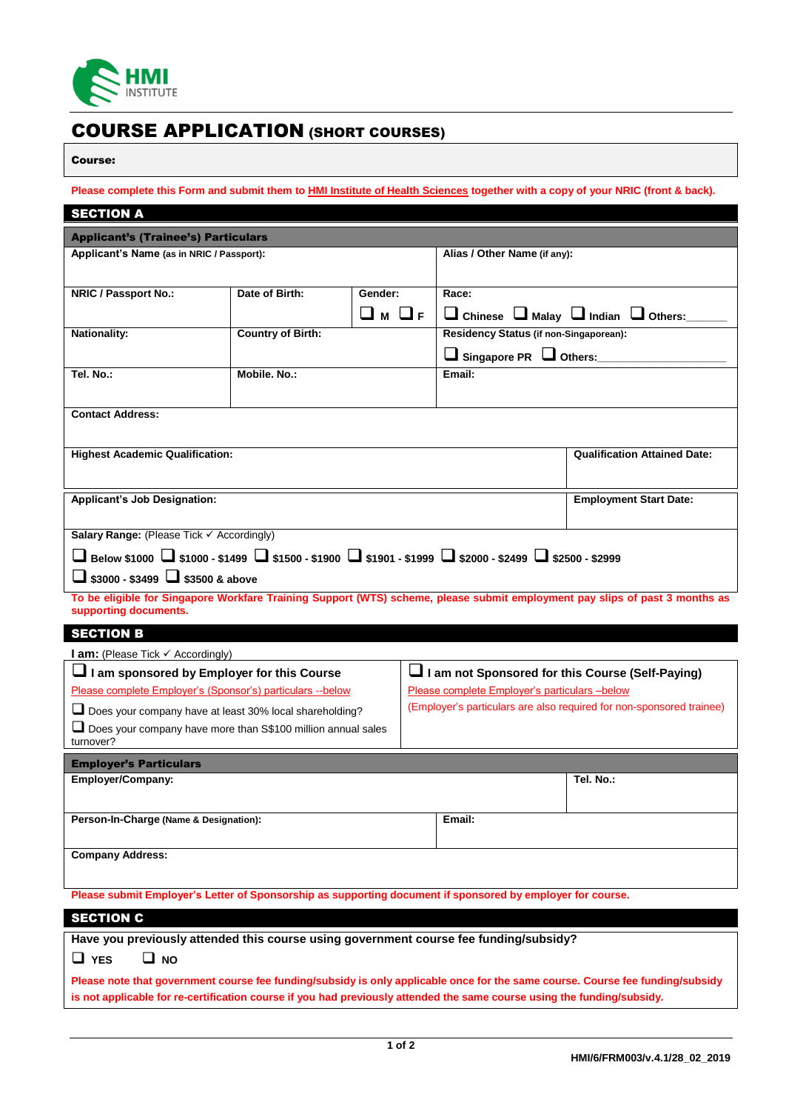

# COURSE APPLICATION (SHORT COURSES)

### Course:

**Please complete this Form and submit them to HMI Institute of Health Sciences together with a copy of your NRIC (front & back).**

| <b>SECTION A</b>                                                                                                                                     |                          |         |                                                    |                                                          |  |
|------------------------------------------------------------------------------------------------------------------------------------------------------|--------------------------|---------|----------------------------------------------------|----------------------------------------------------------|--|
| <b>Applicant's (Trainee's) Particulars</b>                                                                                                           |                          |         |                                                    |                                                          |  |
| Applicant's Name (as in NRIC / Passport):                                                                                                            |                          |         | Alias / Other Name (if any):                       |                                                          |  |
|                                                                                                                                                      |                          |         |                                                    |                                                          |  |
| <b>NRIC / Passport No.:</b>                                                                                                                          | Date of Birth:           | Gender: | Race:                                              |                                                          |  |
|                                                                                                                                                      |                          | ⊔м ⊔ғ   |                                                    | $\Box$ Chinese $\Box$ Malay $\Box$ Indian $\Box$ Others: |  |
| <b>Nationality:</b>                                                                                                                                  | <b>Country of Birth:</b> |         | Residency Status (if non-Singaporean):             |                                                          |  |
|                                                                                                                                                      |                          |         | $\Box$ Singapore PR $\Box$ Others:                 |                                                          |  |
| Tel. No.:                                                                                                                                            | Mobile, No.:             |         | Email:                                             |                                                          |  |
|                                                                                                                                                      |                          |         |                                                    |                                                          |  |
| <b>Contact Address:</b>                                                                                                                              |                          |         |                                                    |                                                          |  |
|                                                                                                                                                      |                          |         |                                                    |                                                          |  |
| <b>Highest Academic Qualification:</b>                                                                                                               |                          |         |                                                    | <b>Qualification Attained Date:</b>                      |  |
|                                                                                                                                                      |                          |         |                                                    |                                                          |  |
| <b>Applicant's Job Designation:</b>                                                                                                                  |                          |         | <b>Employment Start Date:</b>                      |                                                          |  |
|                                                                                                                                                      |                          |         |                                                    |                                                          |  |
| Salary Range: (Please Tick ✓ Accordingly)                                                                                                            |                          |         |                                                    |                                                          |  |
| ■ Below \$1000 ● \$1000 - \$1499 ● \$1500 - \$1900 ● \$1901 - \$1999 ● \$2000 - \$2499 ● \$2500 - \$2999                                             |                          |         |                                                    |                                                          |  |
| $\Box$ \$3000 - \$3499 $\Box$ \$3500 & above                                                                                                         |                          |         |                                                    |                                                          |  |
| To be eligible for Singapore Workfare Training Support (WTS) scheme, please submit employment pay slips of past 3 months as<br>supporting documents. |                          |         |                                                    |                                                          |  |
| <b>SECTION B</b>                                                                                                                                     |                          |         |                                                    |                                                          |  |
| <b>l am:</b> (Please Tick $\checkmark$ Accordingly)                                                                                                  |                          |         |                                                    |                                                          |  |
| I am sponsored by Employer for this Course                                                                                                           |                          |         | ⊔ I am not Sponsored for this Course (Self-Paying) |                                                          |  |
| Please complete Employer's (Sponsor's) particulars -- below                                                                                          |                          |         | Please complete Employer's particulars -below      |                                                          |  |
| (Employer's particulars are also required for non-sponsored trainee)<br>Does your company have at least 30% local shareholding?                      |                          |         |                                                    |                                                          |  |
| $\Box$ Does your company have more than S\$100 million annual sales<br>turnover?                                                                     |                          |         |                                                    |                                                          |  |
| <b>Employer's Particulars</b>                                                                                                                        |                          |         |                                                    |                                                          |  |
| Employer/Company:                                                                                                                                    |                          |         |                                                    | Tel. No.:                                                |  |
|                                                                                                                                                      |                          |         |                                                    |                                                          |  |
| Person-In-Charge (Name & Designation):                                                                                                               |                          |         | Email:                                             |                                                          |  |
|                                                                                                                                                      |                          |         |                                                    |                                                          |  |
| <b>Company Address:</b>                                                                                                                              |                          |         |                                                    |                                                          |  |
| Please submit Employer's Letter of Sponsorship as supporting document if sponsored by employer for course.                                           |                          |         |                                                    |                                                          |  |
| <b>SECTION C</b>                                                                                                                                     |                          |         |                                                    |                                                          |  |
| Have you previously attended this course using government course fee funding/subsidy?                                                                |                          |         |                                                    |                                                          |  |
| $\Box$ NO<br>$\square$ YES                                                                                                                           |                          |         |                                                    |                                                          |  |
| Please note that government course fee funding/subsidy is only applicable once for the same course. Course fee funding/subsidy                       |                          |         |                                                    |                                                          |  |
| is not applicable for re-certification course if you had previously attended the same course using the funding/subsidy.                              |                          |         |                                                    |                                                          |  |
|                                                                                                                                                      |                          |         |                                                    |                                                          |  |